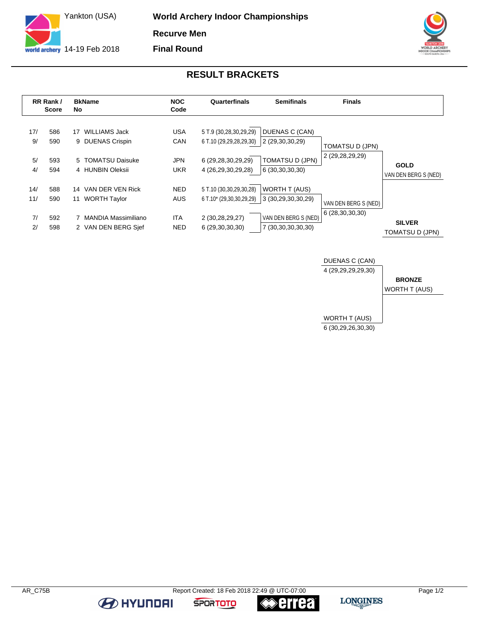

**World Archery Indoor Championships Recurve Men Final Round**



## **RESULT BRACKETS**

|                        | RR Rank /<br>Score       | <b>BkName</b><br><b>No</b>                                                                          | <b>NOC</b><br>Code                                   | Quarterfinals                                                                                 | <b>Semifinals</b>                                                                 | <b>Finals</b>                             |                                         |
|------------------------|--------------------------|-----------------------------------------------------------------------------------------------------|------------------------------------------------------|-----------------------------------------------------------------------------------------------|-----------------------------------------------------------------------------------|-------------------------------------------|-----------------------------------------|
| 17/<br>9/<br>5/<br>4/  | 586<br>590<br>593<br>594 | WILLIAMS Jack<br>17<br>9 DUENAS Crispin<br>5 TOMATSU Daisuke<br>4 HUNBIN Oleksii                    | <b>USA</b><br><b>CAN</b><br><b>JPN</b><br><b>UKR</b> | 5 T.9 (30,28,30,29,29)<br>6 T.10 (29,29,28,29,30)<br>6 (29,28,30,29,29)<br>4 (26,29,30,29,28) | DUENAS C (CAN)<br>2 (29,30,30,29)<br><b>TOMATSU D (JPN)</b><br>6 (30,30,30,30)    | <b>TOMATSU D (JPN)</b><br>2 (29,28,29,29) | <b>GOLD</b><br>VAN DEN BERG S (NED)     |
| 14/<br>11/<br>7/<br>2/ | 588<br>590<br>592<br>598 | VAN DER VEN Rick<br>14<br><b>WORTH Taylor</b><br>11<br>7 MANDIA Massimiliano<br>2 VAN DEN BERG Sief | <b>NED</b><br><b>AUS</b><br><b>ITA</b><br><b>NED</b> | 5 T.10 (30,30,29,30,28)<br>6 T.10* (29,30,30,29,29)<br>2 (30,28,29,27)<br>6 (29,30,30,30)     | WORTH T (AUS)<br>3 (30,29,30,30,29)<br>VAN DEN BERG S (NED)<br>7 (30,30,30,30,30) | VAN DEN BERG S (NED)<br>6 (28,30,30,30)   | <b>SILVER</b><br><b>TOMATSU D (JPN)</b> |



**BE AT A HYLINDAI** 

**errea** 

**SPORTOTO**